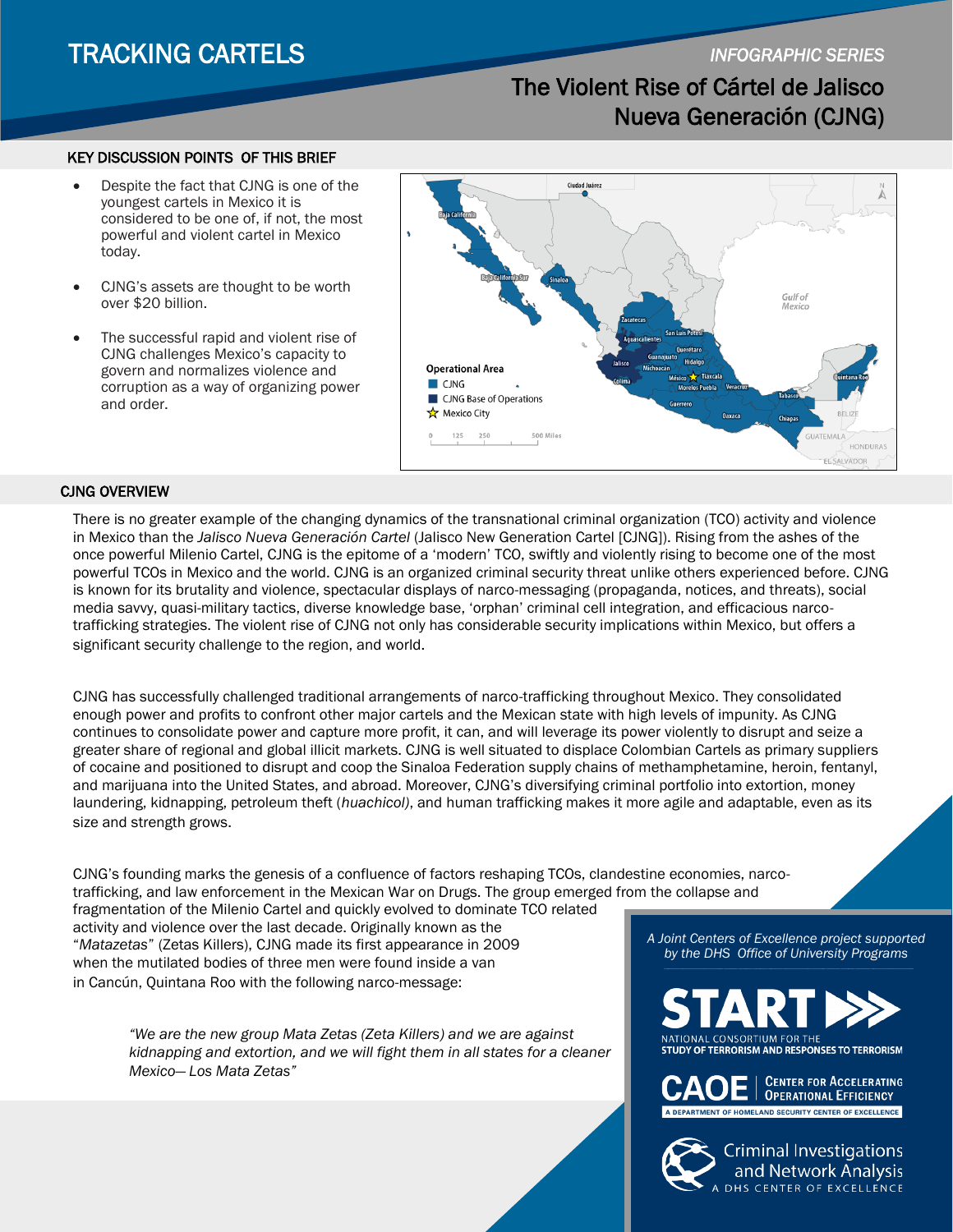## TRACKING CARTELS *INFOGRAPHIC SERIES*

## The Violent Rise of Cártel de Jalisco Nueva Generación (CJNG)

## KEY DISCUSSION POINTS OF THIS BRIEF

- Despite the fact that CJNG is one of the youngest cartels in Mexico it is considered to be one of, if not, the most powerful and violent cartel in Mexico today.
- CJNG's assets are thought to be worth over \$20 billion.
- The successful rapid and violent rise of CJNG challenges Mexico's capacity to govern and normalizes violence and corruption as a way of organizing power and order.



### CJNG OVERVIEW

There is no greater example of the changing dynamics of the transnational criminal organization (TCO) activity and violence in Mexico than the *Jalisco Nueva Generación Cartel* (Jalisco New Generation Cartel [CJNG]). Rising from the ashes of the once powerful Milenio Cartel, CJNG is the epitome of a 'modern' TCO, swiftly and violently rising to become one of the most powerful TCOs in Mexico and the world. CJNG is an organized criminal security threat unlike others experienced before. CJNG is known for its brutality and violence, spectacular displays of narco-messaging (propaganda, notices, and threats), social media savvy, quasi-military tactics, diverse knowledge base, 'orphan' criminal cell integration, and efficacious narcotrafficking strategies. The violent rise of CJNG not only has considerable security implications within Mexico, but offers a significant security challenge to the region, and world.

CJNG has successfully challenged traditional arrangements of narco-trafficking throughout Mexico. They consolidated enough power and profits to confront other major cartels and the Mexican state with high levels of impunity. As CJNG continues to consolidate power and capture more profit, it can, and will leverage its power violently to disrupt and seize a greater share of regional and global illicit markets. CJNG is well situated to displace Colombian Cartels as primary suppliers of cocaine and positioned to disrupt and coop the Sinaloa Federation supply chains of methamphetamine, heroin, fentanyl, and marijuana into the United States, and abroad. Moreover, CJNG's diversifying criminal portfolio into extortion, money laundering, kidnapping, petroleum theft (*huachicol)*, and human trafficking makes it more agile and adaptable, even as its size and strength grows.

CJNG's founding marks the genesis of a confluence of factors reshaping TCOs, clandestine economies, narcotrafficking, and law enforcement in the Mexican War on Drugs. The group emerged from the collapse and fragmentation of the Milenio Cartel and quickly evolved to dominate TCO related

activity and violence over the last decade. Originally known as the "*Matazetas*" (Zetas Killers), CJNG made its first appearance in 2009 when the mutilated bodies of three men were found inside a van in Cancún, Quintana Roo with the following narco-message:

> *"We are the new group Mata Zetas (Zeta Killers) and we are against kidnapping and extortion, and we will fight them in all states for a cleaner Mexico— Los Mata Zetas"*

*A Joint Centers of Excellence project supported by the DHS Office of University Programs*

NATIONAL CONSORTIUM FOR THE **STUDY OF TERRORISM AND RESPONSES TO TERRORISM** 



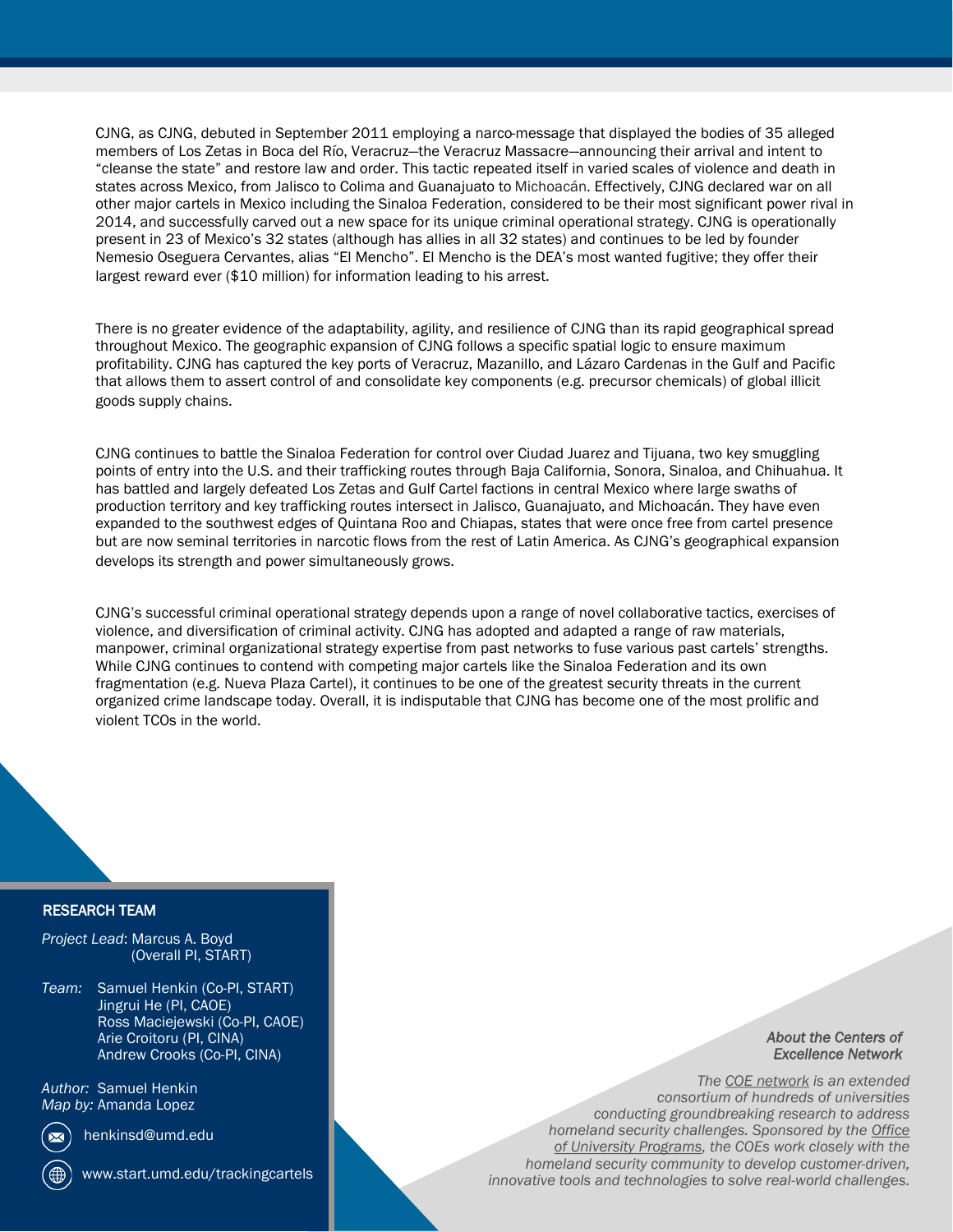CJNG, as CJNG, debuted in September 2011 employing a narco-message that displayed the bodies of 35 alleged members of Los Zetas in Boca del Río, Veracruz—the Veracruz Massacre—announcing their arrival and intent to "cleanse the state" and restore law and order. This tactic repeated itself in varied scales of violence and death in states across Mexico, from Jalisco to Colima and Guanajuato to Michoacán. Effectively, CJNG declared war on all other major cartels in Mexico including the Sinaloa Federation, considered to be their most significant power rival in 2014, and successfully carved out a new space for its unique criminal operational strategy. CJNG is operationally present in 23 of Mexico's 32 states (although has allies in all 32 states) and continues to be led by founder Nemesio Oseguera Cervantes, alias "El Mencho". El Mencho is the DEA's most wanted fugitive; they offer their largest reward ever (\$10 million) for information leading to his arrest.

There is no greater evidence of the adaptability, agility, and resilience of CJNG than its rapid geographical spread throughout Mexico. The geographic expansion of CJNG follows a specific spatial logic to ensure maximum profitability. CJNG has captured the key ports of Veracruz, Mazanillo, and Lázaro Cardenas in the Gulf and Pacific that allows them to assert control of and consolidate key components (e.g. precursor chemicals) of global illicit goods supply chains.

CJNG continues to battle the Sinaloa Federation for control over Ciudad Juarez and Tijuana, two key smuggling points of entry into the U.S. and their trafficking routes through Baja California, Sonora, Sinaloa, and Chihuahua. It has battled and largely defeated Los Zetas and Gulf Cartel factions in central Mexico where large swaths of production territory and key trafficking routes intersect in Jalisco, Guanajuato, and Michoacán. They have even expanded to the southwest edges of Quintana Roo and Chiapas, states that were once free from cartel presence but are now seminal territories in narcotic flows from the rest of Latin America. As CJNG's geographical expansion develops its strength and power simultaneously grows.

CJNG's successful criminal operational strategy depends upon a range of novel collaborative tactics, exercises of violence, and diversification of criminal activity. CJNG has adopted and adapted a range of raw materials, manpower, criminal organizational strategy expertise from past networks to fuse various past cartels' strengths. While CJNG continues to contend with competing major cartels like the Sinaloa Federation and its own fragmentation (e.g. Nueva Plaza Cartel), it continues to be one of the greatest security threats in the current organized crime landscape today. Overall, it is indisputable that CJNG has become one of the most prolific and violent TCOs in the world.

## RESEARCH TEAM

*Project Lead*: Marcus A. Boyd (Overall PI, START)

*Team:* Samuel Henkin (Co-PI, START) Jingrui He (PI, CAOE) Ross Maciejewski (Co-PI, CAOE) Arie Croitoru (PI, CINA) Andrew Crooks (Co-PI, CINA)

*Author: Samuel Henkin Map by:* Amanda Lopez

henkinsd@umd.edu

www.start.umd.edu/trackingcartels

## *About the Centers of Excellence Network*

*The [COE network](https://www.dhs.gov/science-and-technology/centers-excellence) is an extended consortium of hundreds of universities conducting groundbreaking research to address homeland security challenges. Sponsored by the [Office](https://www.dhs.gov/st-oup) [of University Programs,](https://www.dhs.gov/st-oup) the COEs work closely with the homeland security community to develop customer-driven, innovative tools and technologies to solve real-world challenges.*